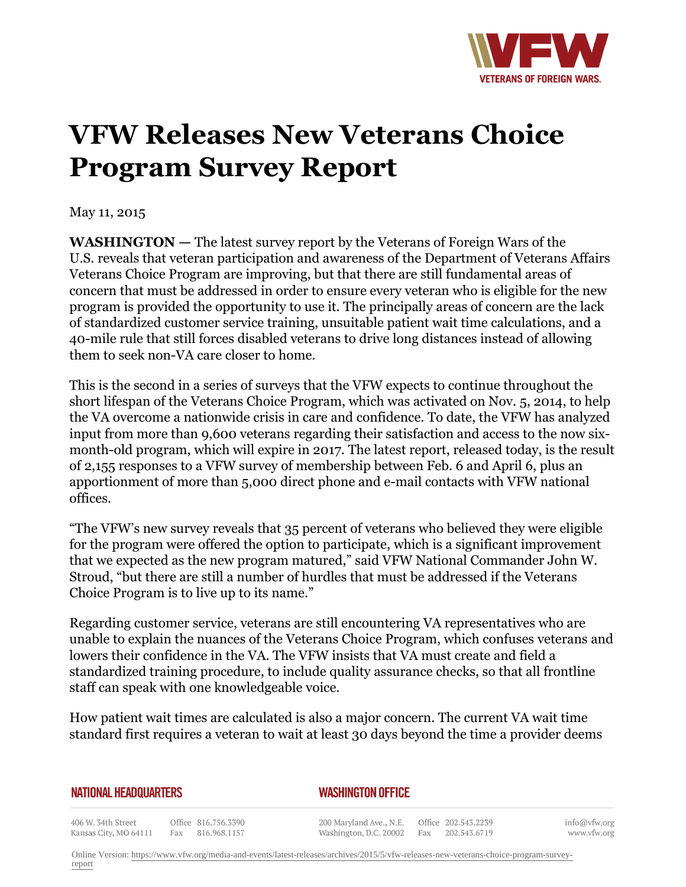

## **VFW Releases New Veterans Choice Program Survey Report**

May 11, 2015

**WASHINGTON —** The latest survey report by the Veterans of Foreign Wars of the U.S. reveals that veteran participation and awareness of the Department of Veterans Affairs Veterans Choice Program are improving, but that there are still fundamental areas of concern that must be addressed in order to ensure every veteran who is eligible for the new program is provided the opportunity to use it. The principally areas of concern are the lack of standardized customer service training, unsuitable patient wait time calculations, and a 40-mile rule that still forces disabled veterans to drive long distances instead of allowing them to seek non-VA care closer to home.

This is the second in a series of surveys that the VFW expects to continue throughout the short lifespan of the Veterans Choice Program, which was activated on Nov. 5, 2014, to help the VA overcome a nationwide crisis in care and confidence. To date, the VFW has analyzed input from more than 9,600 veterans regarding their satisfaction and access to the now sixmonth-old program, which will expire in 2017. The latest report, released today, is the result of 2,155 responses to a VFW survey of membership between Feb. 6 and April 6, plus an apportionment of more than 5,000 direct phone and e-mail contacts with VFW national offices.

"The VFW's new survey reveals that 35 percent of veterans who believed they were eligible for the program were offered the option to participate, which is a significant improvement that we expected as the new program matured," said VFW National Commander John W. Stroud, "but there are still a number of hurdles that must be addressed if the Veterans Choice Program is to live up to its name."

Regarding customer service, veterans are still encountering VA representatives who are unable to explain the nuances of the Veterans Choice Program, which confuses veterans and lowers their confidence in the VA. The VFW insists that VA must create and field a standardized training procedure, to include quality assurance checks, so that all frontline staff can speak with one knowledgeable voice.

How patient wait times are calculated is also a major concern. The current VA wait time standard first requires a veteran to wait at least 30 days beyond the time a provider deems

## **NATIONAL HEADQUARTERS**

## *WASHINGTON OFFICE*

406 W. 34th Street Office 816.756.3390 Kansas City, MO 64111 Fax 816.968.1157

200 Maryland Ave., N.E. Washington, D.C. 20002

Office 202.543.2239 Fax 202.543.6719

info@vfw.org www.vfw.org

Online Version: [https://www.vfw.org/media-and-events/latest-releases/archives/2015/5/vfw-releases-new-veterans-choice-program-survey](https://www.vfw.org/media-and-events/latest-releases/archives/2015/5/vfw-releases-new-veterans-choice-program-survey-report)[report](https://www.vfw.org/media-and-events/latest-releases/archives/2015/5/vfw-releases-new-veterans-choice-program-survey-report)